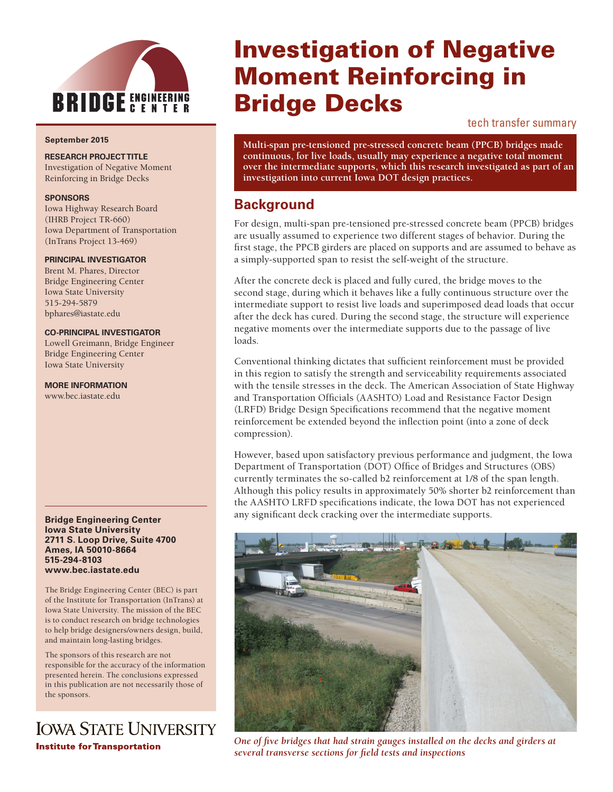

#### **September 2015**

**RESEARCH PROJECT TITLE**

Investigation of Negative Moment Reinforcing in Bridge Decks

#### **SPONSORS**

Iowa Highway Research Board (IHRB Project TR-660) Iowa Department of Transportation (InTrans Project 13-469)

#### **PRINCIPAL INVESTIGATOR**

Brent M. Phares, Director Bridge Engineering Center Iowa State University 515-294-5879 bphares@iastate.edu

#### **CO-PRINCIPAL INVESTIGATOR**

Lowell Greimann, Bridge Engineer Bridge Engineering Center Iowa State University

**MORE INFORMATION**

www.bec.iastate.edu

#### **Bridge Engineering Center Iowa State University 2711 S. Loop Drive, Suite 4700 Ames, IA 50010-8664 515-294-8103 www.bec.iastate.edu**

The Bridge Engineering Center (BEC) is part of the Institute for Transportation (InTrans) at Iowa State University. The mission of the BEC is to conduct research on bridge technologies to help bridge designers/owners design, build, and maintain long-lasting bridges.

The sponsors of this research are not responsible for the accuracy of the information presented herein. The conclusions expressed in this publication are not necessarily those of the sponsors.

# **IOWA STATE UNIVERSITY Institute for Transportation**

# Investigation of Negative Moment Reinforcing in Bridge Decks

#### tech transfer summary

**Multi-span pre-tensioned pre-stressed concrete beam (PPCB) bridges made continuous, for live loads, usually may experience a negative total moment over the intermediate supports, which this research investigated as part of an investigation into current Iowa DOT design practices.**

## **Background**

For design, multi-span pre-tensioned pre-stressed concrete beam (PPCB) bridges are usually assumed to experience two different stages of behavior. During the first stage, the PPCB girders are placed on supports and are assumed to behave as a simply-supported span to resist the self-weight of the structure.

After the concrete deck is placed and fully cured, the bridge moves to the second stage, during which it behaves like a fully continuous structure over the intermediate support to resist live loads and superimposed dead loads that occur after the deck has cured. During the second stage, the structure will experience negative moments over the intermediate supports due to the passage of live loads.

Conventional thinking dictates that sufficient reinforcement must be provided in this region to satisfy the strength and serviceability requirements associated with the tensile stresses in the deck. The American Association of State Highway and Transportation Officials (AASHTO) Load and Resistance Factor Design (LRFD) Bridge Design Specifications recommend that the negative moment reinforcement be extended beyond the inflection point (into a zone of deck compression).

However, based upon satisfactory previous performance and judgment, the Iowa Department of Transportation (DOT) Office of Bridges and Structures (OBS) currently terminates the so-called b2 reinforcement at 1/8 of the span length. Although this policy results in approximately 50% shorter b2 reinforcement than the AASHTO LRFD specifications indicate, the Iowa DOT has not experienced any significant deck cracking over the intermediate supports.



*One of five bridges that had strain gauges installed on the decks and girders at several transverse sections for field tests and inspections*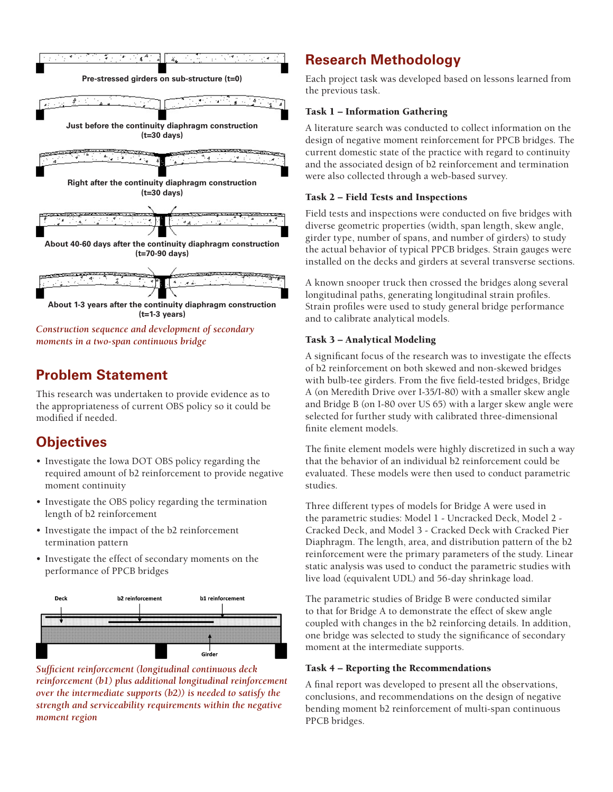

*moments in a two-span continuous bridge*

# **Problem Statement**

This research was undertaken to provide evidence as to the appropriateness of current OBS policy so it could be modified if needed.

# **Objectives**

- Investigate the Iowa DOT OBS policy regarding the required amount of b2 reinforcement to provide negative moment continuity
- Investigate the OBS policy regarding the termination length of b2 reinforcement
- Investigate the impact of the b2 reinforcement termination pattern
- Investigate the effect of secondary moments on the performance of PPCB bridges



*Sufficient reinforcement (longitudinal continuous deck reinforcement (b1) plus additional longitudinal reinforcement over the intermediate supports (b2)) is needed to satisfy the strength and serviceability requirements within the negative moment region*

# **Research Methodology**

Each project task was developed based on lessons learned from the previous task.

## Task 1 – Information Gathering

A literature search was conducted to collect information on the design of negative moment reinforcement for PPCB bridges. The current domestic state of the practice with regard to continuity and the associated design of b2 reinforcement and termination were also collected through a web-based survey.

## Task 2 – Field Tests and Inspections

Field tests and inspections were conducted on five bridges with diverse geometric properties (width, span length, skew angle, girder type, number of spans, and number of girders) to study the actual behavior of typical PPCB bridges. Strain gauges were installed on the decks and girders at several transverse sections.

A known snooper truck then crossed the bridges along several longitudinal paths, generating longitudinal strain profiles. Strain profiles were used to study general bridge performance and to calibrate analytical models.

## Task 3 – Analytical Modeling

A significant focus of the research was to investigate the effects of b2 reinforcement on both skewed and non-skewed bridges with bulb-tee girders. From the five field-tested bridges, Bridge A (on Meredith Drive over I-35/I-80) with a smaller skew angle and Bridge B (on I-80 over US 65) with a larger skew angle were selected for further study with calibrated three-dimensional finite element models.

The finite element models were highly discretized in such a way that the behavior of an individual b2 reinforcement could be evaluated. These models were then used to conduct parametric studies.

Three different types of models for Bridge A were used in the parametric studies: Model 1 - Uncracked Deck, Model 2 - Cracked Deck, and Model 3 - Cracked Deck with Cracked Pier Diaphragm. The length, area, and distribution pattern of the b2 reinforcement were the primary parameters of the study. Linear static analysis was used to conduct the parametric studies with live load (equivalent UDL) and 56-day shrinkage load.

The parametric studies of Bridge B were conducted similar to that for Bridge A to demonstrate the effect of skew angle coupled with changes in the b2 reinforcing details. In addition, one bridge was selected to study the significance of secondary moment at the intermediate supports.

## Task 4 – Reporting the Recommendations

A final report was developed to present all the observations, conclusions, and recommendations on the design of negative bending moment b2 reinforcement of multi-span continuous PPCB bridges.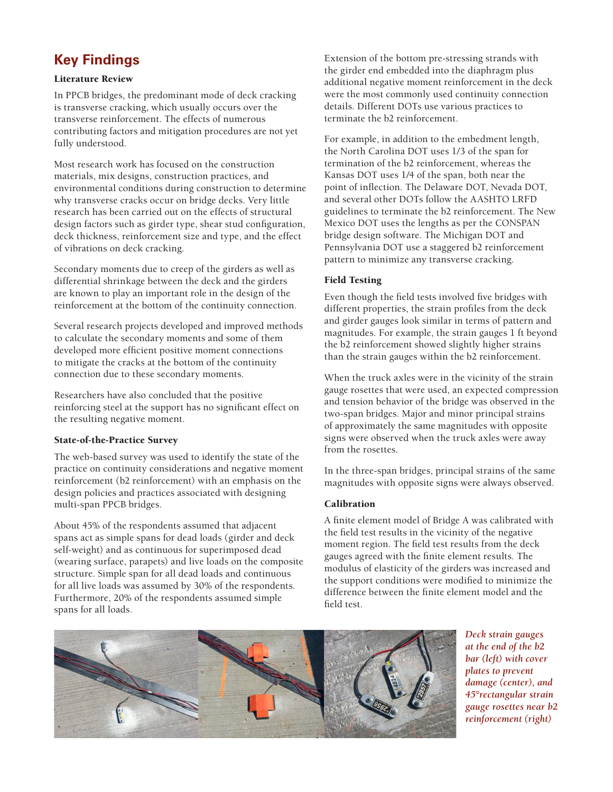# **Key Findings**

#### Literature Review

In PPCB bridges, the predominant mode of deck cracking is transverse cracking, which usually occurs over the transverse reinforcement. The effects of numerous contributing factors and mitigation procedures are not yet fully understood.

Most research work has focused on the construction materials, mix designs, construction practices, and environmental conditions during construction to determine why transverse cracks occur on bridge decks. Very little research has been carried out on the effects of structural design factors such as girder type, shear stud configuration, deck thickness, reinforcement size and type, and the effect of vibrations on deck cracking.

Secondary moments due to creep of the girders as well as differential shrinkage between the deck and the girders are known to play an important role in the design of the reinforcement at the bottom of the continuity connection.

Several research projects developed and improved methods to calculate the secondary moments and some of them developed more efficient positive moment connections to mitigate the cracks at the bottom of the continuity connection due to these secondary moments.

Researchers have also concluded that the positive reinforcing steel at the support has no significant effect on the resulting negative moment.

#### State-of-the-Practice Survey

The web-based survey was used to identify the state of the practice on continuity considerations and negative moment reinforcement (b2 reinforcement) with an emphasis on the design policies and practices associated with designing multi-span PPCB bridges.

About 45% of the respondents assumed that adjacent spans act as simple spans for dead loads (girder and deck self-weight) and as continuous for superimposed dead (wearing surface, parapets) and live loads on the composite structure. Simple span for all dead loads and continuous for all live loads was assumed by 30% of the respondents. Furthermore, 20% of the respondents assumed simple spans for all loads.

Extension of the bottom pre-stressing strands with the girder end embedded into the diaphragm plus additional negative moment reinforcement in the deck were the most commonly used continuity connection details. Different DOTs use various practices to terminate the b2 reinforcement.

For example, in addition to the embedment length, the North Carolina DOT uses 1/3 of the span for termination of the b2 reinforcement, whereas the Kansas DOT uses 1/4 of the span, both near the point of inflection. The Delaware DOT, Nevada DOT, and several other DOTs follow the AASHTO LRFD guidelines to terminate the b2 reinforcement. The New Mexico DOT uses the lengths as per the CONSPAN bridge design software. The Michigan DOT and Pennsylvania DOT use a staggered b2 reinforcement pattern to minimize any transverse cracking.

## Field Testing

Even though the field tests involved five bridges with different properties, the strain profiles from the deck and girder gauges look similar in terms of pattern and magnitudes. For example, the strain gauges 1 ft beyond the b2 reinforcement showed slightly higher strains than the strain gauges within the b2 reinforcement.

When the truck axles were in the vicinity of the strain gauge rosettes that were used, an expected compression and tension behavior of the bridge was observed in the two-span bridges. Major and minor principal strains of approximately the same magnitudes with opposite signs were observed when the truck axles were away from the rosettes.

In the three-span bridges, principal strains of the same magnitudes with opposite signs were always observed.

## Calibration

A finite element model of Bridge A was calibrated with the field test results in the vicinity of the negative moment region. The field test results from the deck gauges agreed with the finite element results. The modulus of elasticity of the girders was increased and the support conditions were modified to minimize the difference between the finite element model and the field test.



*Deck strain gauges at the end of the b2 bar (left) with cover plates to prevent damage (center), and 45°rectangular strain gauge rosettes near b2 reinforcement (right)*